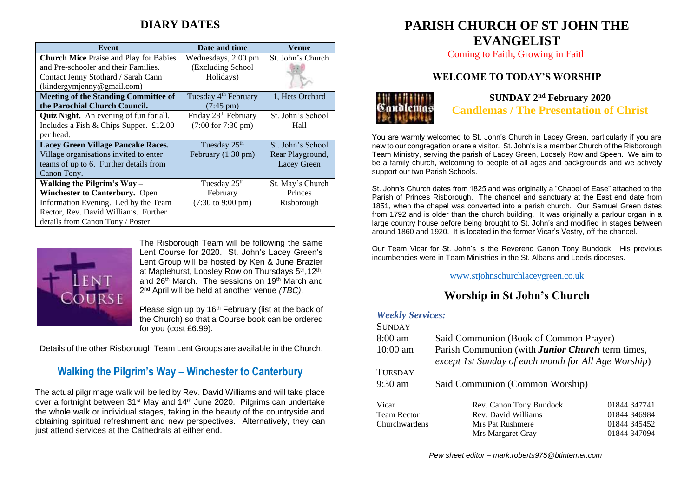# **DIARY DATES**

| Event                                         | Date and time                        | Venue             |
|-----------------------------------------------|--------------------------------------|-------------------|
| <b>Church Mice Praise and Play for Babies</b> | Wednesdays, 2:00 pm                  | St. John's Church |
| and Pre-schooler and their Families.          | (Excluding School                    |                   |
| Contact Jenny Stothard / Sarah Cann           | Holidays)                            |                   |
| (kindergymjenny@gmail.com)                    |                                      |                   |
| <b>Meeting of the Standing Committee of</b>   | Tuesday 4 <sup>th</sup> February     | 1. Hets Orchard   |
| the Parochial Church Council.                 | $(7:45 \text{ pm})$                  |                   |
| <b>Quiz Night.</b> An evening of fun for all. | Friday 28th February                 | St. John's School |
| Includes a Fish & Chips Supper. $£12.00$      | (7:00 for 7:30 pm)                   | Hall              |
| per head.                                     |                                      |                   |
| <b>Lacey Green Village Pancake Races.</b>     | Tuesday 25 <sup>th</sup>             | St. John's School |
| Village organisations invited to enter        | February (1:30 pm)                   | Rear Playground,  |
| teams of up to 6. Further details from        |                                      | Lacey Green       |
| Canon Tony.                                   |                                      |                   |
| Walking the Pilgrim's $Way -$                 | Tuesday 25 <sup>th</sup>             | St. May's Church  |
| Winchester to Canterbury. Open                | February                             | Princes           |
| Information Evening. Led by the Team          | $(7:30 \text{ to } 9:00 \text{ pm})$ | Risborough        |
| Rector, Rev. David Williams. Further          |                                      |                   |
| details from Canon Tony / Poster.             |                                      |                   |



The Risborough Team will be following the same Lent Course for 2020. St. John's Lacey Green's Lent Group will be hosted by Ken & June Brazier at Maplehurst, Loosley Row on Thursdays 5<sup>th</sup>, 12<sup>th</sup>, and 26th March. The sessions on 19th March and 2 nd April will be held at another venue *(TBC)*.

Please sign up by 16<sup>th</sup> February (list at the back of the Church) so that a Course book can be ordered for you (cost £6.99).

Details of the other Risborough Team Lent Groups are available in the Church.

# **Walking the Pilgrim's Way – Winchester to Canterbury**

The actual pilgrimage walk will be led by Rev. David Williams and will take place over a fortnight between 31<sup>st</sup> May and 14<sup>th</sup> June 2020. Pilgrims can undertake the whole walk or individual stages, taking in the beauty of the countryside and obtaining spiritual refreshment and new perspectives. Alternatively, they can just attend services at the Cathedrals at either end.

# **PARISH CHURCH OF ST JOHN THE EVANGELIST**

Coming to Faith, Growing in Faith

## **WELCOME TO TODAY'S WORSHIP**



**SUNDAY 2 nd February 2020 Candlemas / The Presentation of Christ**

You are warmly welcomed to St. John's Church in Lacey Green, particularly if you are new to our congregation or are a visitor. St. John's is a member Church of the Risborough Team Ministry, serving the parish of Lacey Green, Loosely Row and Speen. We aim to be a family church, welcoming to people of all ages and backgrounds and we actively support our two Parish Schools.

St. John's Church dates from 1825 and was originally a "Chapel of Ease" attached to the Parish of Princes Risborough. The chancel and sanctuary at the East end date from 1851, when the chapel was converted into a parish church. Our Samuel Green dates from 1792 and is older than the church building. It was originally a parlour organ in a large country house before being brought to St. John's and modified in stages between around 1860 and 1920. It is located in the former Vicar's Vestry, off the chancel.

Our Team Vicar for St. John's is the Reverend Canon Tony Bundock. His previous incumbencies were in Team Ministries in the St. Albans and Leeds dioceses.

[www.stjohnschurchlaceygreen.co.uk](http://www.stjohnschurchlaceygreen.co.uk/)

# **Worship in St John's Church**

#### *Weekly Services:*

| <b>SUNDAY</b>      |                                                                                                                 |              |  |
|--------------------|-----------------------------------------------------------------------------------------------------------------|--------------|--|
| $8:00 \text{ am}$  | Said Communion (Book of Common Prayer)                                                                          |              |  |
| $10:00$ am         | Parish Communion (with <b>Junior Church</b> term times,<br>except 1st Sunday of each month for All Age Worship) |              |  |
| <b>TUESDAY</b>     |                                                                                                                 |              |  |
| $9:30$ am          | Said Communion (Common Worship)                                                                                 |              |  |
| Vicar              | Rev. Canon Tony Bundock                                                                                         | 01844 347741 |  |
| <b>Team Rector</b> | Rev. David Williams                                                                                             | 01844 346984 |  |
| Churchwardens      | Mrs Pat Rushmere                                                                                                | 01844 345452 |  |
|                    | Mrs Margaret Gray                                                                                               | 01844 347094 |  |